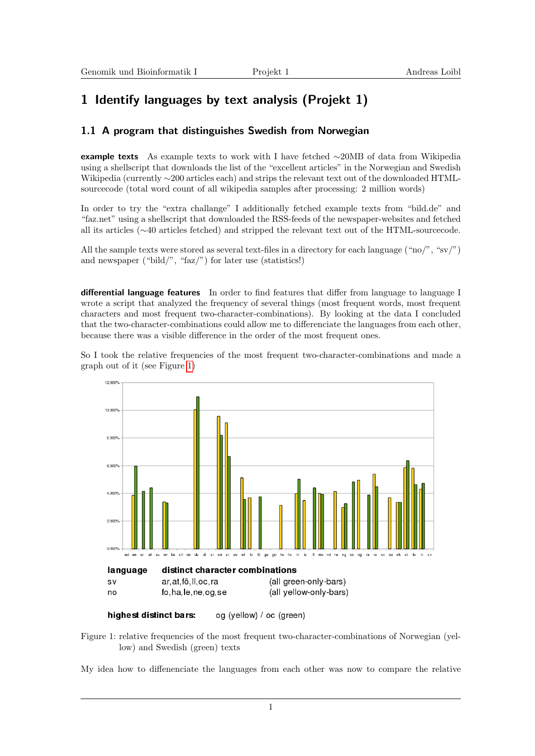## 1 Identify languages by text analysis (Projekt 1)

## 1.1 A program that distinguishes Swedish from Norwegian

example texts As example texts to work with I have fetched ∼20MB of data from Wikipedia using a shellscript that downloads the list of the "excellent articles" in the Norwegian and Swedish Wikipedia (currently ∼200 articles each) and strips the relevant text out of the downloaded HTMLsourcecode (total word count of all wikipedia samples after processing: 2 million words)

In order to try the "extra challange" I additionally fetched example texts from "bild.de" and "faz.net" using a shellscript that downloaded the RSS-feeds of the newspaper-websites and fetched all its articles (∼40 articles fetched) and stripped the relevant text out of the HTML-sourcecode.

All the sample texts were stored as several text-files in a directory for each language ("no/", "sv/") and newspaper ("bild/", "faz/") for later use (statistics!)

differential language features In order to find features that differ from language to language I wrote a script that analyzed the frequency of several things (most frequent words, most frequent characters and most frequent two-character-combinations). By looking at the data I concluded that the two-character-combinations could allow me to differenciate the languages from each other, because there was a visible difference in the order of the most frequent ones.

So I took the relative frequencies of the most frequent two-character-combinations and made a graph out of it (see Figure [1\)](#page-0-0)



<span id="page-0-0"></span>highest distinct bars: og (yellow) / oc (green)

Figure 1: relative frequencies of the most frequent two-character-combinations of Norwegian (yellow) and Swedish (green) texts

My idea how to diffenenciate the languages from each other was now to compare the relative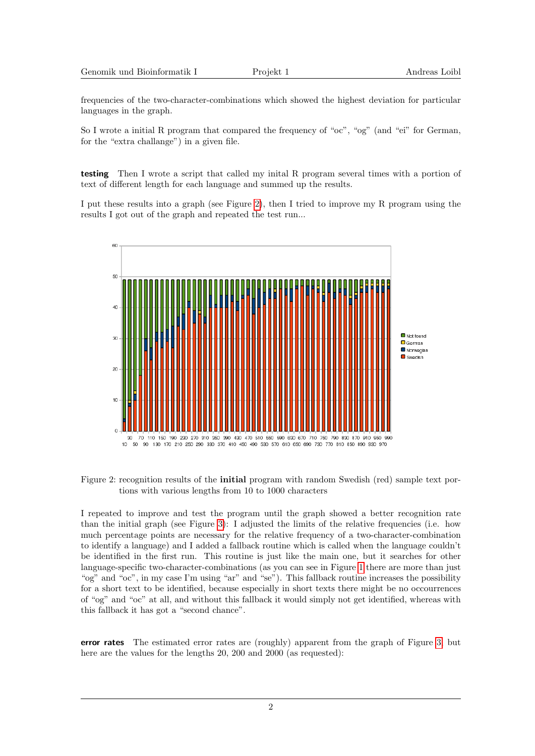|  | Genomik und Bioinformatik I |  |
|--|-----------------------------|--|
|--|-----------------------------|--|

frequencies of the two-character-combinations which showed the highest deviation for particular languages in the graph.

So I wrote a initial R program that compared the frequency of "oc", "og" (and "ei" for German, for the "extra challange") in a given file.

testing Then I wrote a script that called my inital R program several times with a portion of text of different length for each language and summed up the results.

I put these results into a graph (see Figure [2\)](#page-1-0), then I tried to improve my R program using the results I got out of the graph and repeated the test run...



<span id="page-1-0"></span>Figure 2: recognition results of the initial program with random Swedish (red) sample text portions with various lengths from 10 to 1000 characters

I repeated to improve and test the program until the graph showed a better recognition rate than the initial graph (see Figure [3\)](#page-2-0): I adjusted the limits of the relative frequencies (i.e. how much percentage points are necessary for the relative frequency of a two-character-combination to identify a language) and I added a fallback routine which is called when the language couldn't be identified in the first run. This routine is just like the main one, but it searches for other language-specific two-character-combinations (as you can see in Figure [1](#page-0-0) there are more than just "og" and "oc", in my case I'm using "ar" and "se"). This fallback routine increases the possibility for a short text to be identified, because especially in short texts there might be no occourrences of "og" and "oc" at all, and without this fallback it would simply not get identified, whereas with this fallback it has got a "second chance".

error rates The estimated error rates are (roughly) apparent from the graph of Figure [3,](#page-2-0) but here are the values for the lengths 20, 200 and 2000 (as requested):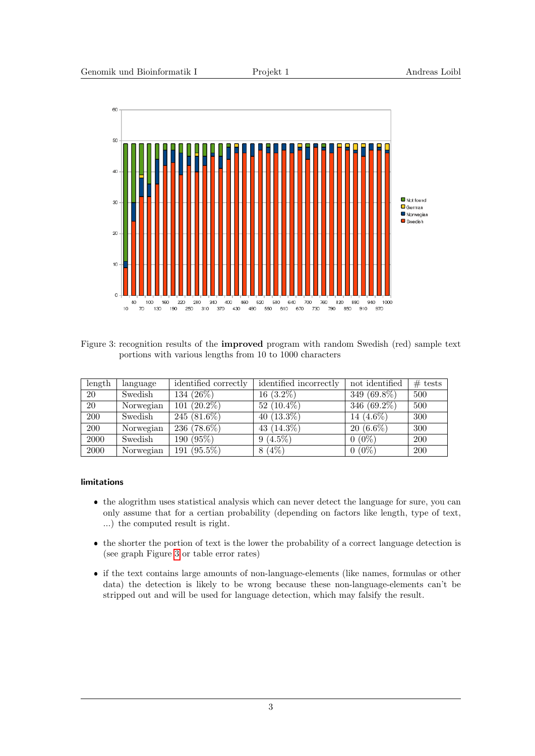

<span id="page-2-0"></span>Figure 3: recognition results of the improved program with random Swedish (red) sample text portions with various lengths from 10 to 1000 characters

| length | language  | identified correctly | identified incorrectly | not identified | $#$ tests  |
|--------|-----------|----------------------|------------------------|----------------|------------|
| 20     | Swedish   | 134 (26%)            | $16(3.2\%)$            | 349 (69.8%)    | 500        |
| 20     | Norwegian | $101(20.2\%)$        | $52(10.4\%)$           | 346 $(69.2\%)$ | 500        |
| 200    | Swedish   | 245 $(81.6\%)$       | $40(13.3\%)$           | 14 (4.6%)      | 300        |
| 200    | Norwegian | 236 $(78.6\%)$       | 43 $(14.3\%)$          | $20(6.6\%)$    | 300        |
| 2000   | Swedish   | 190(95%)             | $9(4.5\%)$             | $0(0\%)$       | <b>200</b> |
| 2000   | Norwegian | 191 $(95.5\%)$       | $8(4\%)$               | $0(0\%)$       | <b>200</b> |

## limitations

- the alogrithm uses statistical analysis which can never detect the language for sure, you can only assume that for a certian probability (depending on factors like length, type of text, ...) the computed result is right.
- the shorter the portion of text is the lower the probability of a correct language detection is (see graph Figure [3](#page-2-0) or table error rates)
- if the text contains large amounts of non-language-elements (like names, formulas or other data) the detection is likely to be wrong because these non-language-elements can't be stripped out and will be used for language detection, which may falsify the result.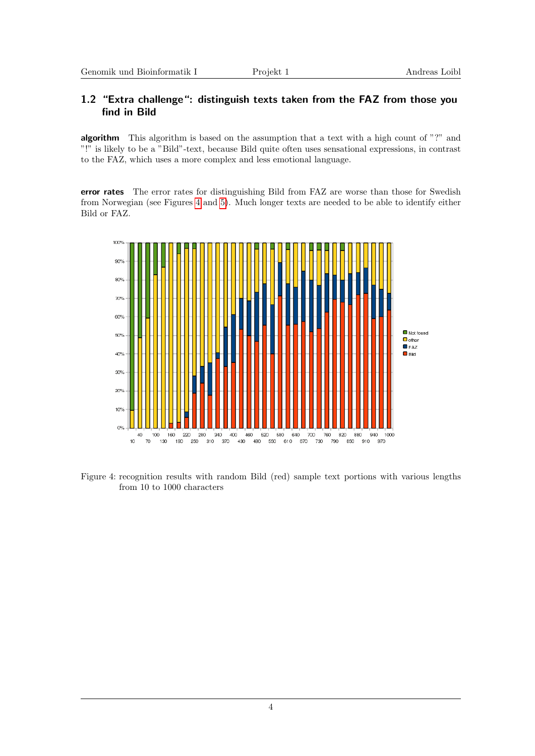## 1.2 "Extra challenge": distinguish texts taken from the FAZ from those you find in Bild

algorithm This algorithm is based on the assumption that a text with a high count of "?" and "!" is likely to be a "Bild"-text, because Bild quite often uses sensational expressions, in contrast to the FAZ, which uses a more complex and less emotional language.

error rates The error rates for distinguishing Bild from FAZ are worse than those for Swedish from Norwegian (see Figures [4](#page-3-0) and [5\)](#page-4-0). Much longer texts are needed to be able to identify either Bild or FAZ.



<span id="page-3-0"></span>Figure 4: recognition results with random Bild (red) sample text portions with various lengths from 10 to 1000 characters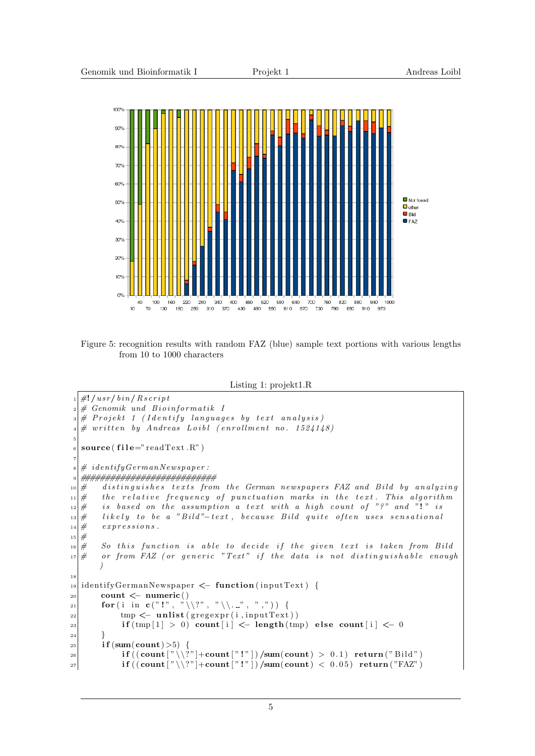

<span id="page-4-0"></span>Figure 5: recognition results with random FAZ (blue) sample text portions with various lengths from 10 to 1000 characters

Listing 1: projekt1.R

```
_1 \neq ! / usr / bin / R s cript
\vert x\vert\# Genomik und Bioinformatik I
|s| \# Projekt 1 (Identify languages by text analysis)
  # written by Andreas Loibl (enrollment no. 1524148)5
   source(file="readText.R")7
   \# identify German Newspaper :
9 ###########################
10 \# distinguishes texts from the German newspapers FAZ and Bild by analyzing
11 \# the relative frequency of punctuation marks in the text. This algorithm
12 \n\#\ is based on the assumption a text with a high count of "?" and "!" is
13 \# likely to be a "Bild"-text, because Bild quite often uses sensational
\begin{array}{c} 14 \neq 0 \end{array} expressions.
15 \neq\begin{array}{lll} \text{16} & \# & \text{So this function is able to decide if the given text is taken from Bild} \\ \text{17} & \# & \text{or from FAZ (or generic "Text" if the data is not distinguishable enoma)} \end{array}17 \# or from FAZ (or generic "Text" if the data is not distinguishable enough
        )
18
19 identifyGermanNewspaper <- function (inputText) {
_{20} count \leq numeric ()
21 for (i in c("!", "\\\langle \rangle?", "\\...", ", ")) {
\begin{aligned} \text{tmp} &\leftarrow \text{unlist}(\text{gregexpr}(\text{i}, \text{inputText})) \end{aligned}23 if (\text{tmp}[1] > 0) count [i] < length (\text{tmp}) else count [i] < 024 }
\left| \right| if (sum(count) > 5) {
\frac{26}{126} if ((\text{count}[\sqrt[n]{2^n}+\text{count}[\sqrt[n]{2^n}]) / \text{sum}(\text{count}) > 0.1) return ("Bild")
27 if ((\text{count}[\sqrt[n]{?}] + \text{count}[\sqrt[n]{?}]) / \text{sum}(\text{count}) < 0.05) return ("FAZ")
```